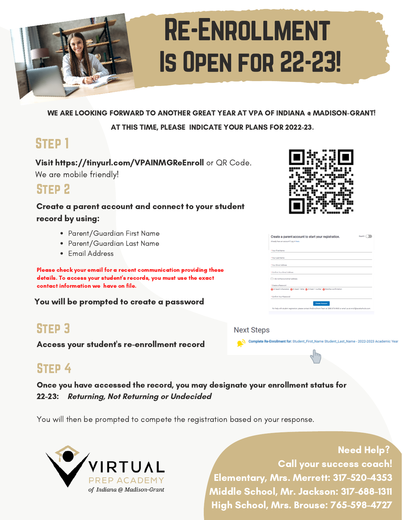

WE ARE LOOKING FORWARD TO ANOTHER GREAT YEAR AT VPA OF INDIANA @ MADISON-GRANT!

AT THIS TIME, PLEASE INDICATE YOUR PLANS FOR 2022-23.

# STFP<sub>1</sub>

Visit https://tinyurl.com/VPAINMGReEnroll or QR Code. We are mobile friendly!

## STFP<sub>2</sub>

#### Create a parent account and connect to your student record by using:

- Parent/Guardian First Name
- Parent/Guardian Last Name
- Email Address

Please check your email for a recent communication providing these details. To access your student's records, you must use the exact contact information we have on file.

You will be prompted to create a password

# Step 3

Access your student's re-enrollment record

# STFP<sub>4</sub>

Once you have accessed the record, you may designate your enrollment status for 22-23: **Returning, Not Returning or Undecided**

You will then be prompted to compete the registration based on your response.



Need Help? Call your success coach! Elementary, Mrs. Merrett: 317-520-4353 Middle School, Mr. Jackson: 317-688-1311 High School, Mrs. Brouse: 765-598-4727



| Create a parent account to start your registration. |                                                                                                                                  | Español |
|-----------------------------------------------------|----------------------------------------------------------------------------------------------------------------------------------|---------|
| Already have an account? Log in here.               |                                                                                                                                  |         |
| * Your First Name                                   |                                                                                                                                  |         |
| * Your Last Name                                    |                                                                                                                                  |         |
| *Your Email Address                                 |                                                                                                                                  |         |
| * Confirm Your Email Address                        |                                                                                                                                  |         |
| I I do not have an email address.                   |                                                                                                                                  |         |
| * Create a Password                                 |                                                                                                                                  |         |
|                                                     | At least 8 characters (a At least 1 letter (a At least 1 number (a Matches confirmation)                                         |         |
| * Confirm Your Password                             |                                                                                                                                  |         |
|                                                     | <b>Create Account</b>                                                                                                            |         |
|                                                     | For help with student registration, please contact the Enrollment Team at (888) 874-9680 or email us at enroll@accelschools.com. |         |

Complete Re-Enrollment for: Student\_First\_Name Student\_Last\_Name - 2022-2023 Acader